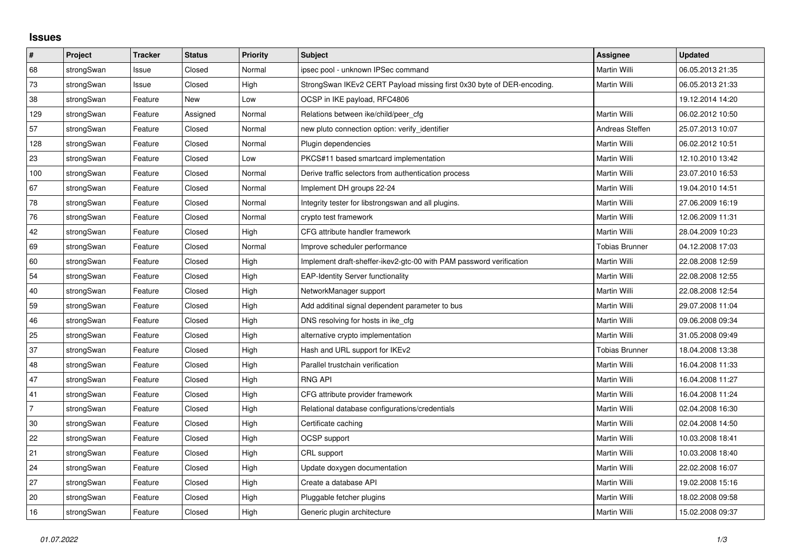## **Issues**

| $\vert$ #      | Project    | <b>Tracker</b> | <b>Status</b> | <b>Priority</b> | <b>Subject</b>                                                         | <b>Assignee</b>       | <b>Updated</b>   |
|----------------|------------|----------------|---------------|-----------------|------------------------------------------------------------------------|-----------------------|------------------|
| 68             | strongSwan | Issue          | Closed        | Normal          | ipsec pool - unknown IPSec command                                     | <b>Martin Willi</b>   | 06.05.2013 21:35 |
| 73             | strongSwan | Issue          | Closed        | High            | StrongSwan IKEv2 CERT Payload missing first 0x30 byte of DER-encoding. | Martin Willi          | 06.05.2013 21:33 |
| 38             | strongSwan | Feature        | <b>New</b>    | Low             | OCSP in IKE payload, RFC4806                                           |                       | 19.12.2014 14:20 |
| 129            | strongSwan | Feature        | Assigned      | Normal          | Relations between ike/child/peer_cfg                                   | Martin Willi          | 06.02.2012 10:50 |
| 57             | strongSwan | Feature        | Closed        | Normal          | new pluto connection option: verify identifier                         | Andreas Steffen       | 25.07.2013 10:07 |
| 128            | strongSwan | Feature        | Closed        | Normal          | Plugin dependencies                                                    | Martin Willi          | 06.02.2012 10:51 |
| 23             | strongSwan | Feature        | Closed        | Low             | PKCS#11 based smartcard implementation                                 | Martin Willi          | 12.10.2010 13:42 |
| 100            | strongSwan | Feature        | Closed        | Normal          | Derive traffic selectors from authentication process                   | Martin Willi          | 23.07.2010 16:53 |
| 67             | strongSwan | Feature        | Closed        | Normal          | Implement DH groups 22-24                                              | Martin Willi          | 19.04.2010 14:51 |
| 78             | strongSwan | Feature        | Closed        | Normal          | Integrity tester for libstrongswan and all plugins.                    | Martin Willi          | 27.06.2009 16:19 |
| 76             | strongSwan | Feature        | Closed        | Normal          | crypto test framework                                                  | Martin Willi          | 12.06.2009 11:31 |
| 42             | strongSwan | Feature        | Closed        | High            | CFG attribute handler framework                                        | <b>Martin Willi</b>   | 28.04.2009 10:23 |
| 69             | strongSwan | Feature        | Closed        | Normal          | Improve scheduler performance                                          | <b>Tobias Brunner</b> | 04.12.2008 17:03 |
| 60             | strongSwan | Feature        | Closed        | High            | Implement draft-sheffer-ikev2-gtc-00 with PAM password verification    | Martin Willi          | 22.08.2008 12:59 |
| 54             | strongSwan | Feature        | Closed        | High            | <b>EAP-Identity Server functionality</b>                               | Martin Willi          | 22.08.2008 12:55 |
| 40             | strongSwan | Feature        | Closed        | High            | NetworkManager support                                                 | Martin Willi          | 22.08.2008 12:54 |
| 59             | strongSwan | Feature        | Closed        | High            | Add additinal signal dependent parameter to bus                        | Martin Willi          | 29.07.2008 11:04 |
| 46             | strongSwan | Feature        | Closed        | High            | DNS resolving for hosts in ike_cfg                                     | Martin Willi          | 09.06.2008 09:34 |
| 25             | strongSwan | Feature        | Closed        | High            | alternative crypto implementation                                      | Martin Willi          | 31.05.2008 09:49 |
| 37             | strongSwan | Feature        | Closed        | High            | Hash and URL support for IKEv2                                         | <b>Tobias Brunner</b> | 18.04.2008 13:38 |
| 48             | strongSwan | Feature        | Closed        | High            | Parallel trustchain verification                                       | Martin Willi          | 16.04.2008 11:33 |
| 47             | strongSwan | Feature        | Closed        | High            | <b>RNG API</b>                                                         | Martin Willi          | 16.04.2008 11:27 |
| 41             | strongSwan | Feature        | Closed        | High            | CFG attribute provider framework                                       | Martin Willi          | 16.04.2008 11:24 |
| $\overline{7}$ | strongSwan | Feature        | Closed        | High            | Relational database configurations/credentials                         | Martin Willi          | 02.04.2008 16:30 |
| 30             | strongSwan | Feature        | Closed        | High            | Certificate caching                                                    | <b>Martin Willi</b>   | 02.04.2008 14:50 |
| 22             | strongSwan | Feature        | Closed        | High            | OCSP support                                                           | Martin Willi          | 10.03.2008 18:41 |
| 21             | strongSwan | Feature        | Closed        | High            | CRL support                                                            | Martin Willi          | 10.03.2008 18:40 |
| 24             | strongSwan | Feature        | Closed        | High            | Update doxygen documentation                                           | Martin Willi          | 22.02.2008 16:07 |
| 27             | strongSwan | Feature        | Closed        | High            | Create a database API                                                  | Martin Willi          | 19.02.2008 15:16 |
| 20             | strongSwan | Feature        | Closed        | High            | Pluggable fetcher plugins                                              | Martin Willi          | 18.02.2008 09:58 |
| 16             | strongSwan | Feature        | Closed        | High            | Generic plugin architecture                                            | Martin Willi          | 15.02.2008 09:37 |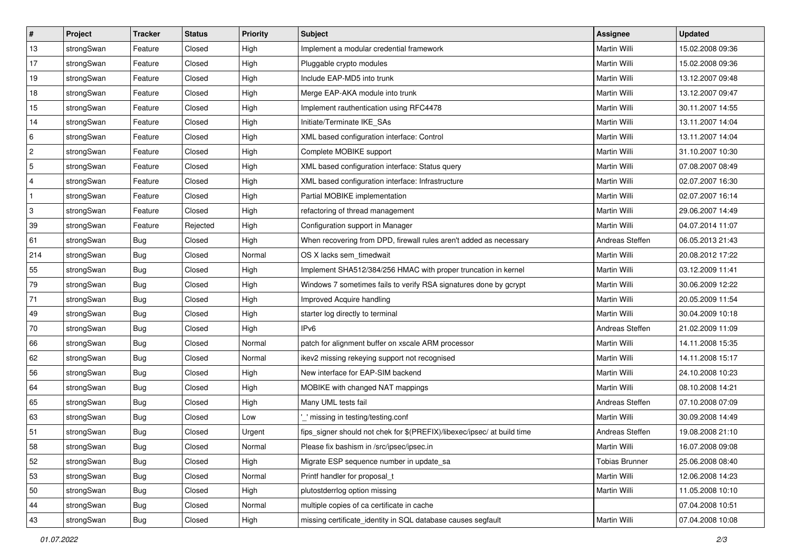| ∦   | Project    | <b>Tracker</b> | <b>Status</b> | <b>Priority</b> | <b>Subject</b>                                                          | Assignee              | <b>Updated</b>   |
|-----|------------|----------------|---------------|-----------------|-------------------------------------------------------------------------|-----------------------|------------------|
| 13  | strongSwan | Feature        | Closed        | High            | Implement a modular credential framework                                | Martin Willi          | 15.02.2008 09:36 |
| 17  | strongSwan | Feature        | Closed        | High            | Pluggable crypto modules                                                | Martin Willi          | 15.02.2008 09:36 |
| 19  | strongSwan | Feature        | Closed        | High            | Include EAP-MD5 into trunk                                              | Martin Willi          | 13.12.2007 09:48 |
| 18  | strongSwan | Feature        | Closed        | High            | Merge EAP-AKA module into trunk                                         | Martin Willi          | 13.12.2007 09:47 |
| 15  | strongSwan | Feature        | Closed        | High            | Implement rauthentication using RFC4478                                 | Martin Willi          | 30.11.2007 14:55 |
| 14  | strongSwan | Feature        | Closed        | High            | Initiate/Terminate IKE_SAs                                              | Martin Willi          | 13.11.2007 14:04 |
| 6   | strongSwan | Feature        | Closed        | High            | XML based configuration interface: Control                              | Martin Willi          | 13.11.2007 14:04 |
| 2   | strongSwan | Feature        | Closed        | High            | Complete MOBIKE support                                                 | Martin Willi          | 31.10.2007 10:30 |
| 5   | strongSwan | Feature        | Closed        | High            | XML based configuration interface: Status query                         | Martin Willi          | 07.08.2007 08:49 |
| 4   | strongSwan | Feature        | Closed        | High            | XML based configuration interface: Infrastructure                       | <b>Martin Willi</b>   | 02.07.2007 16:30 |
| -1  | strongSwan | Feature        | Closed        | High            | Partial MOBIKE implementation                                           | Martin Willi          | 02.07.2007 16:14 |
| 3   | strongSwan | Feature        | Closed        | High            | refactoring of thread management                                        | Martin Willi          | 29.06.2007 14:49 |
| 39  | strongSwan | Feature        | Rejected      | High            | Configuration support in Manager                                        | <b>Martin Willi</b>   | 04.07.2014 11:07 |
| 61  | strongSwan | Bug            | Closed        | High            | When recovering from DPD, firewall rules aren't added as necessary      | Andreas Steffen       | 06.05.2013 21:43 |
| 214 | strongSwan | <b>Bug</b>     | Closed        | Normal          | OS X lacks sem_timedwait                                                | Martin Willi          | 20.08.2012 17:22 |
| 55  | strongSwan | <b>Bug</b>     | Closed        | High            | Implement SHA512/384/256 HMAC with proper truncation in kernel          | Martin Willi          | 03.12.2009 11:41 |
| 79  | strongSwan | Bug            | Closed        | High            | Windows 7 sometimes fails to verify RSA signatures done by gcrypt       | Martin Willi          | 30.06.2009 12:22 |
| 71  | strongSwan | Bug            | Closed        | High            | Improved Acquire handling                                               | Martin Willi          | 20.05.2009 11:54 |
| 49  | strongSwan | Bug            | Closed        | High            | starter log directly to terminal                                        | Martin Willi          | 30.04.2009 10:18 |
| 70  | strongSwan | <b>Bug</b>     | Closed        | High            | IP <sub>v6</sub>                                                        | Andreas Steffen       | 21.02.2009 11:09 |
| 66  | strongSwan | Bug            | Closed        | Normal          | patch for alignment buffer on xscale ARM processor                      | Martin Willi          | 14.11.2008 15:35 |
| 62  | strongSwan | Bug            | Closed        | Normal          | ikev2 missing rekeying support not recognised                           | Martin Willi          | 14.11.2008 15:17 |
| 56  | strongSwan | Bug            | Closed        | High            | New interface for EAP-SIM backend                                       | Martin Willi          | 24.10.2008 10:23 |
| 64  | strongSwan | <b>Bug</b>     | Closed        | High            | MOBIKE with changed NAT mappings                                        | Martin Willi          | 08.10.2008 14:21 |
| 65  | strongSwan | <b>Bug</b>     | Closed        | High            | Many UML tests fail                                                     | Andreas Steffen       | 07.10.2008 07:09 |
| 63  | strongSwan | Bug            | Closed        | Low             | _' missing in testing/testing.conf                                      | <b>Martin Willi</b>   | 30.09.2008 14:49 |
| 51  | strongSwan | Bug            | Closed        | Urgent          | fips_signer should not chek for \$(PREFIX)/libexec/ipsec/ at build time | Andreas Steffen       | 19.08.2008 21:10 |
| 58  | strongSwan | Bug            | Closed        | Normal          | Please fix bashism in /src/ipsec/ipsec.in                               | Martin Willi          | 16.07.2008 09:08 |
| 52  | strongSwan | Bug            | Closed        | High            | Migrate ESP sequence number in update sa                                | <b>Tobias Brunner</b> | 25.06.2008 08:40 |
| 53  | strongSwan | Bug            | Closed        | Normal          | Printf handler for proposal_t                                           | Martin Willi          | 12.06.2008 14:23 |
| 50  | strongSwan | <b>Bug</b>     | Closed        | High            | plutostderrlog option missing                                           | Martin Willi          | 11.05.2008 10:10 |
| 44  | strongSwan | Bug            | Closed        | Normal          | multiple copies of ca certificate in cache                              |                       | 07.04.2008 10:51 |
| 43  | strongSwan | <b>Bug</b>     | Closed        | High            | missing certificate_identity in SQL database causes segfault            | Martin Willi          | 07.04.2008 10:08 |